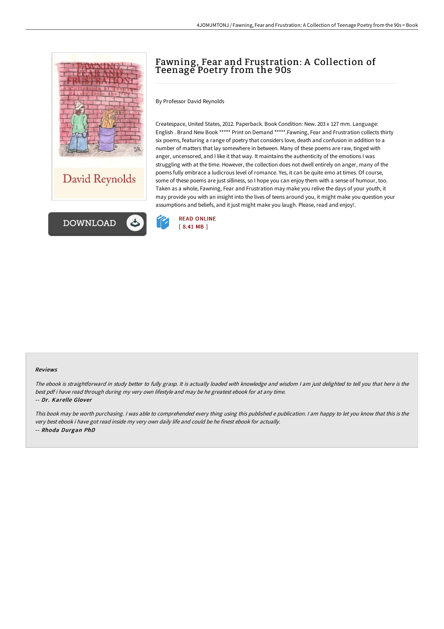



# Fawning, Fear and Frustration: A Collection of Teenage Poetry from the 90s

By Professor David Reynolds

Createspace, United States, 2012. Paperback. Book Condition: New. 203 x 127 mm. Language: English . Brand New Book \*\*\*\*\* Print on Demand \*\*\*\*\*.Fawning, Fear and Frustration collects thirty six poems, featuring a range of poetry that considers love, death and confusion in addition to a number of matters that lay somewhere in between. Many of these poems are raw, tinged with anger, uncensored, and I like it that way. It maintains the authenticity of the emotions I was struggling with at the time. However, the collection does not dwell entirely on anger, many of the poems fully embrace a ludicrous level of romance. Yes, it can be quite emo at times. Of course, some of these poems are just silliness, so I hope you can enjoy them with a sense of humour, too. Taken as a whole, Fawning, Fear and Frustration may make you relive the days of your youth, it may provide you with an insight into the lives of teens around you, it might make you question your assumptions and beliefs, and it just might make you laugh. Please, read and enjoy!.



#### Reviews

The ebook is straightforward in study better to fully grasp. It is actually loaded with knowledge and wisdom I am just delighted to tell you that here is the best pdf i have read through during my very own lifestyle and may be he greatest ebook for at any time.

#### -- Dr. Karelle Glover

This book may be worth purchasing. I was able to comprehended every thing using this published <sup>e</sup> publication. I am happy to let you know that this is the very best ebook i have got read inside my very own daily life and could be he finest ebook for actually. -- Rhoda Durgan PhD